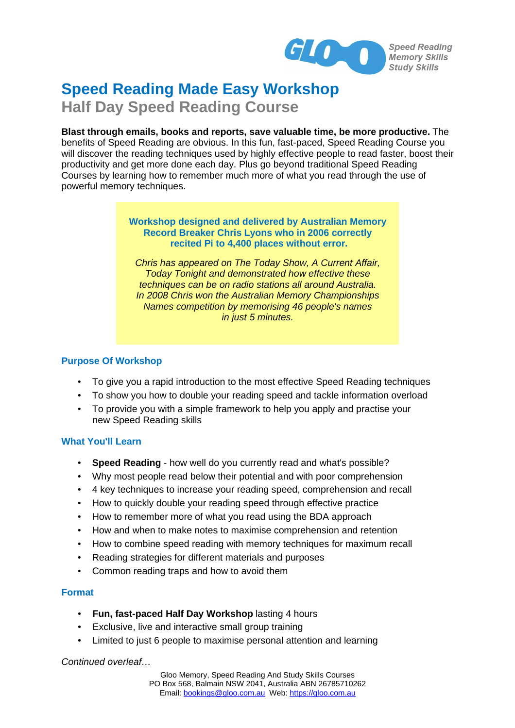

# **Speed Reading Made Easy Workshop Half Day Speed Reading Course**

**Blast through emails, books and reports, save valuable time, be more productive.** The benefits of Speed Reading are obvious. In this fun, fast-paced, Speed Reading Course you will discover the reading techniques used by highly effective people to read faster, boost their productivity and get more done each day. Plus go beyond traditional Speed Reading Courses by learning how to remember much more of what you read through the use of powerful memory techniques.

### **Workshop designed and delivered by Australian Memory Record Breaker Chris Lyons who in 2006 correctly recited Pi to 4,400 places without error.**

*Chris has appeared on The Today Show, A Current Affair, Today Tonight and demonstrated how effective these techniques can be on radio stations all around Australia. In 2008 Chris won the Australian Memory Championships Names competition by memorising 46 people's names in just 5 minutes.*

## **Purpose Of Workshop**

- To give you a rapid introduction to the most effective Speed Reading techniques
- To show you how to double your reading speed and tackle information overload
- To provide you with a simple framework to help you apply and practise your new Speed Reading skills

## **What You'll Learn**

- **Speed Reading** how well do you currently read and what's possible?
- Why most people read below their potential and with poor comprehension
- 4 key techniques to increase your reading speed, comprehension and recall
- How to quickly double your reading speed through effective practice
- How to remember more of what you read using the BDA approach
- How and when to make notes to maximise comprehension and retention
- How to combine speed reading with memory techniques for maximum recall
- Reading strategies for different materials and purposes
- Common reading traps and how to avoid them

## **Format**

- **Fun, fast-paced Half Day Workshop** lasting 4 hours
- Exclusive, live and interactive small group training
- Limited to just 6 people to maximise personal attention and learning

*Continued overleaf…*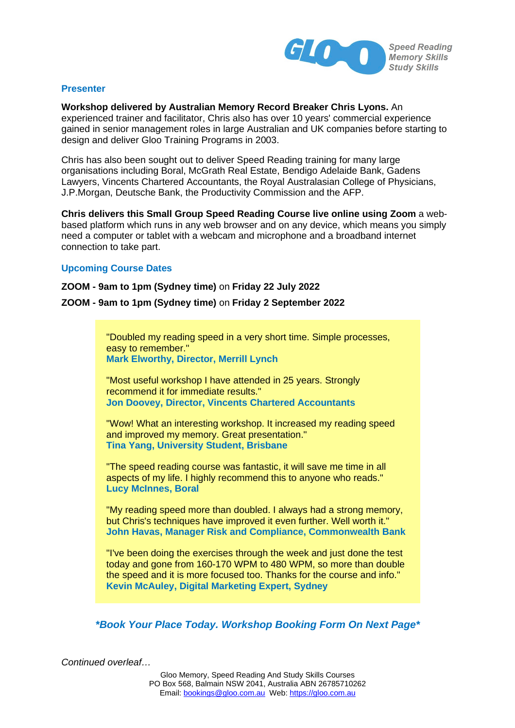

#### **Presenter**

**Workshop delivered by Australian Memory Record Breaker Chris Lyons.** An experienced trainer and facilitator, Chris also has over 10 years' commercial experience gained in senior management roles in large Australian and UK companies before starting to design and deliver Gloo Training Programs in 2003.

Chris has also been sought out to deliver Speed Reading training for many large organisations including Boral, McGrath Real Estate, Bendigo Adelaide Bank, Gadens Lawyers, Vincents Chartered Accountants, the Royal Australasian College of Physicians, J.P.Morgan, Deutsche Bank, the Productivity Commission and the AFP.

**Chris delivers this Small Group Speed Reading Course live online using Zoom** a webbased platform which runs in any web browser and on any device, which means you simply need a computer or tablet with a webcam and microphone and a broadband internet connection to take part.

#### **Upcoming Course Dates**

**ZOOM - 9am to 1pm (Sydney time)** on **Friday 22 July 2022** 

#### **ZOOM - 9am to 1pm (Sydney time)** on **Friday 2 September 2022**

"Doubled my reading speed in a very short time. Simple processes, easy to remember." **Mark Elworthy, Director, Merrill Lynch**

"Most useful workshop I have attended in 25 years. Strongly recommend it for immediate results." **Jon Doovey, Director, Vincents Chartered Accountants**

"Wow! What an interesting workshop. It increased my reading speed and improved my memory. Great presentation." **Tina Yang, University Student, Brisbane** 

"The speed reading course was fantastic, it will save me time in all aspects of my life. I highly recommend this to anyone who reads." **Lucy McInnes, Boral**

"My reading speed more than doubled. I always had a strong memory, but Chris's techniques have improved it even further. Well worth it." **John Havas, Manager Risk and Compliance, Commonwealth Bank**

"I've been doing the exercises through the week and just done the test today and gone from 160-170 WPM to 480 WPM, so more than double the speed and it is more focused too. Thanks for the course and info." **Kevin McAuley, Digital Marketing Expert, Sydney**

*\*Book Your Place Today. Workshop Booking Form On Next Page\** 

*Continued overleaf…*